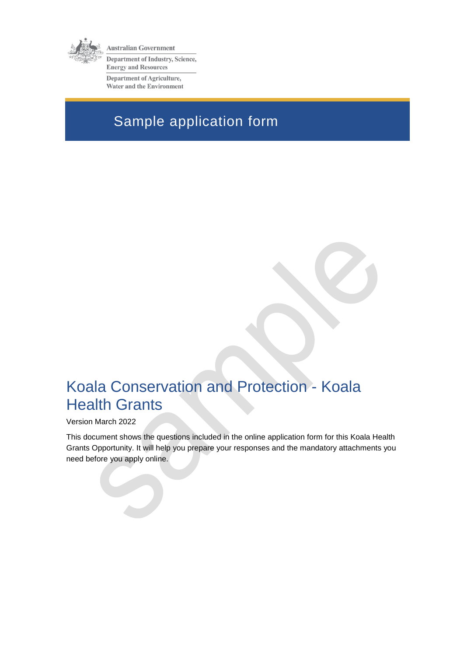

**Australian Government Department of Industry, Science, Energy and Resources** 

**Department of Agriculture,** Water and the Environment

# Sample application form

# Koala Conservation and Protection - Koala Health Grants

Version March 2022

This document shows the questions included in the online application form for this Koala Health Grants Opportunity. It will help you prepare your responses and the mandatory attachments you need before you apply online.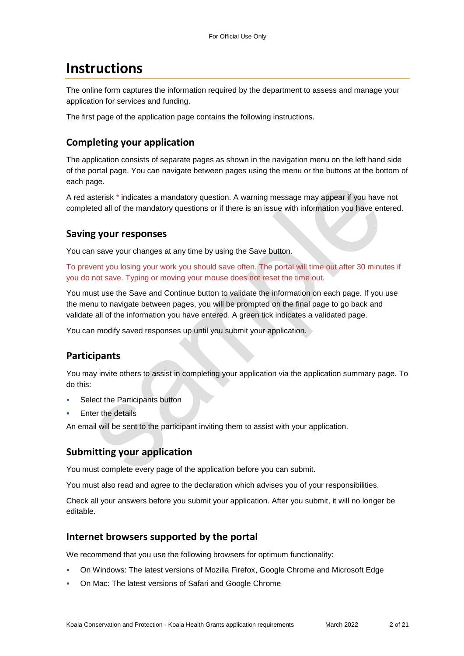### **Instructions**

The online form captures the information required by the department to assess and manage your application for services and funding.

The first page of the application page contains the following instructions.

#### **Completing your application**

The application consists of separate pages as shown in the navigation menu on the left hand side of the portal page. You can navigate between pages using the menu or the buttons at the bottom of each page.

A red asterisk \* indicates a mandatory question. A warning message may appear if you have not completed all of the mandatory questions or if there is an issue with information you have entered.

#### **Saving your responses**

You can save your changes at any time by using the Save button.

To prevent you losing your work you should save often. The portal will time out after 30 minutes if you do not save. Typing or moving your mouse does not reset the time out.

You must use the Save and Continue button to validate the information on each page. If you use the menu to navigate between pages, you will be prompted on the final page to go back and validate all of the information you have entered. A green tick indicates a validated page.

You can modify saved responses up until you submit your application.

### **Participants**

You may invite others to assist in completing your application via the application summary page. To do this:

- Select the Participants button
- Enter the details

An email will be sent to the participant inviting them to assist with your application.

#### **Submitting your application**

You must complete every page of the application before you can submit.

You must also read and agree to the declaration which advises you of your responsibilities.

Check all your answers before you submit your application. After you submit, it will no longer be editable.

#### **Internet browsers supported by the portal**

We recommend that you use the following browsers for optimum functionality:

- On Windows: The latest versions of Mozilla Firefox, Google Chrome and Microsoft Edge
- On Mac: The latest versions of Safari and Google Chrome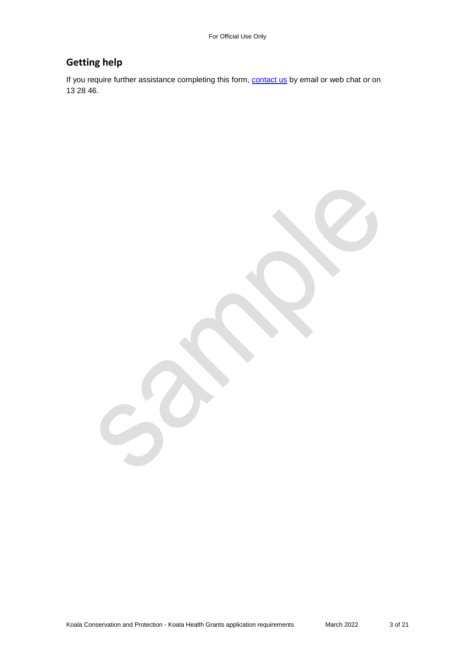### **Getting help**

If you require further assistance completing this form, **contact us** by email or web chat or on 13 28 46.

 $\sim$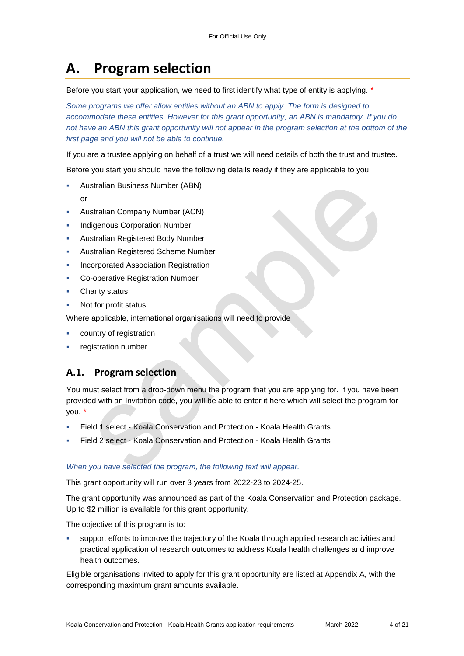# **A. Program selection**

Before you start your application, we need to first identify what type of entity is applying. *\**

*Some programs we offer allow entities without an ABN to apply. The form is designed to accommodate these entities. However for this grant opportunity, an ABN is mandatory. If you do*  not have an ABN this grant opportunity will not appear in the program selection at the bottom of the *first page and you will not be able to continue.*

If you are a trustee applying on behalf of a trust we will need details of both the trust and trustee.

Before you start you should have the following details ready if they are applicable to you.

- Australian Business Number (ABN)
	- or
- Australian Company Number (ACN)
- Indigenous Corporation Number
- Australian Registered Body Number
- Australian Registered Scheme Number
- Incorporated Association Registration
- Co-operative Registration Number
- Charity status
- Not for profit status

Where applicable, international organisations will need to provide

- country of registration
- registration number

#### **A.1. Program selection**

You must select from a drop-down menu the program that you are applying for. If you have been provided with an Invitation code, you will be able to enter it here which will select the program for you. *\**

- Field 1 select Koala Conservation and Protection Koala Health Grants
- Field 2 select Koala Conservation and Protection Koala Health Grants

#### *When you have selected the program, the following text will appear.*

This grant opportunity will run over 3 years from 2022-23 to 2024-25.

The grant opportunity was announced as part of the Koala Conservation and Protection package. Up to \$2 million is available for this grant opportunity.

The objective of this program is to:

 support efforts to improve the trajectory of the Koala through applied research activities and practical application of research outcomes to address Koala health challenges and improve health outcomes.

Eligible organisations invited to apply for this grant opportunity are listed at Appendix A, with the corresponding maximum grant amounts available.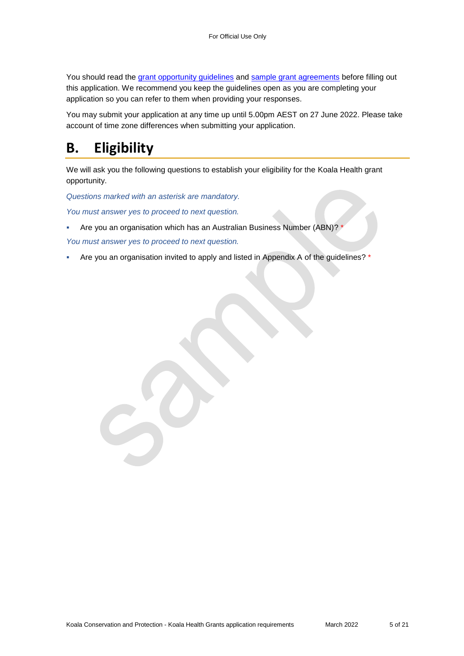You should read the grant opportunity guidelines and sample grant agreements before filling out this application. We recommend you keep the guidelines open as you are completing your application so you can refer to them when providing your responses.

You may submit your application at any time up until 5.00pm AEST on 27 June 2022. Please take account of time zone differences when submitting your application.

# **B. Eligibility**

We will ask you the following questions to establish your eligibility for the Koala Health grant opportunity.

*Questions marked with an asterisk are mandatory.* 

*You must answer yes to proceed to next question.*

Are you an organisation which has an Australian Business Number (ABN)? \*

*You must answer yes to proceed to next question.*

Are you an organisation invited to apply and listed in Appendix A of the guidelines? \*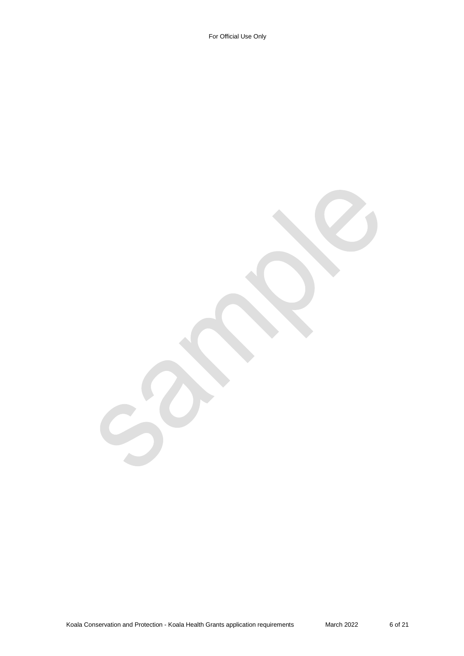For Official Use Only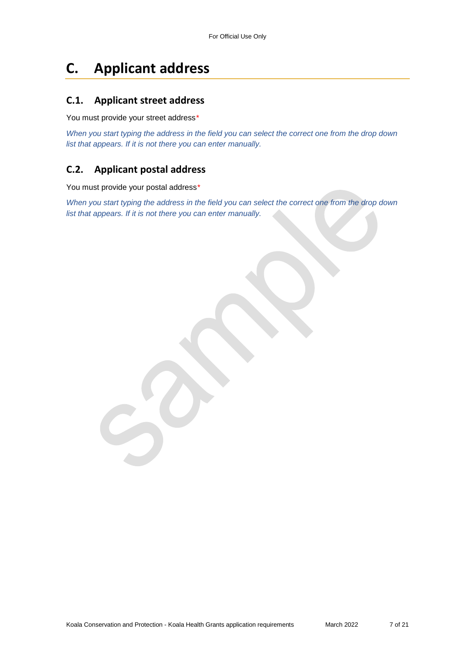## **C. Applicant address**

#### **C.1. Applicant street address**

You must provide your street address*\**

*When you start typing the address in the field you can select the correct one from the drop down list that appears. If it is not there you can enter manually.*

### **C.2. Applicant postal address**

You must provide your postal address*\**

*When you start typing the address in the field you can select the correct one from the drop down list that appears. If it is not there you can enter manually.*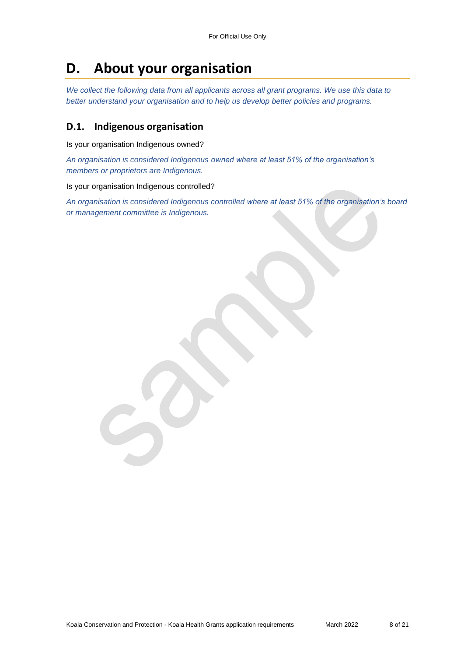### **D. About your organisation**

*We collect the following data from all applicants across all grant programs. We use this data to better understand your organisation and to help us develop better policies and programs.*

#### **D.1. Indigenous organisation**

Is your organisation Indigenous owned?

*An organisation is considered Indigenous owned where at least 51% of the organisation's members or proprietors are Indigenous.*

Is your organisation Indigenous controlled?

*An organisation is considered Indigenous controlled where at least 51% of the organisation's board or management committee is Indigenous.*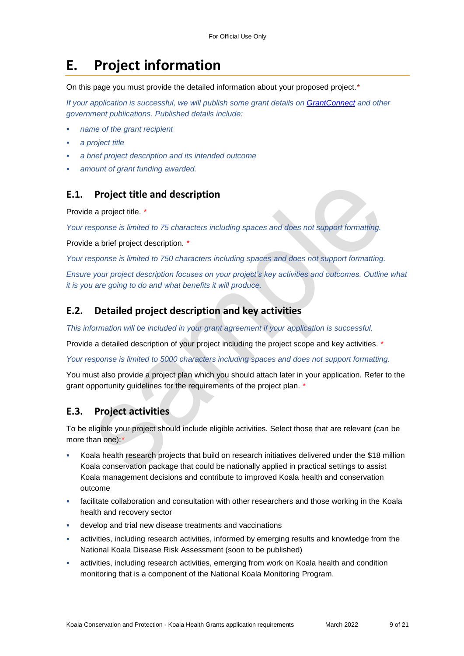## **E. Project information**

On this page you must provide the detailed information about your proposed project.*\**

*If your application is successful, we will publish some grant details on [GrantConnect](https://www.grants.gov.au/) and other government publications. Published details include:*

- *name of the grant recipient*
- *a project title*
- *a brief project description and its intended outcome*
- *amount of grant funding awarded.*

#### **E.1. Project title and description**

Provide a project title. *\**

*Your response is limited to 75 characters including spaces and does not support formatting.* 

Provide a brief project description. *\**

*Your response is limited to 750 characters including spaces and does not support formatting.* 

*Ensure your project description focuses on your project's key activities and outcomes. Outline what it is you are going to do and what benefits it will produce.*

#### **E.2. Detailed project description and key activities**

*This information will be included in your grant agreement if your application is successful.*

Provide a detailed description of your project including the project scope and key activities. *\**

*Your response is limited to 5000 characters including spaces and does not support formatting.* 

You must also provide a project plan which you should attach later in your application. Refer to the grant opportunity guidelines for the requirements of the project plan. *\**

#### **E.3. Project activities**

To be eligible your project should include eligible activities. Select those that are relevant (can be more than one):*\**

- Koala health research projects that build on research initiatives delivered under the \$18 million Koala conservation package that could be nationally applied in practical settings to assist Koala management decisions and contribute to improved Koala health and conservation outcome
- facilitate collaboration and consultation with other researchers and those working in the Koala health and recovery sector
- develop and trial new disease treatments and vaccinations
- activities, including research activities, informed by emerging results and knowledge from the National Koala Disease Risk Assessment (soon to be published)
- activities, including research activities, emerging from work on Koala health and condition monitoring that is a component of the National Koala Monitoring Program.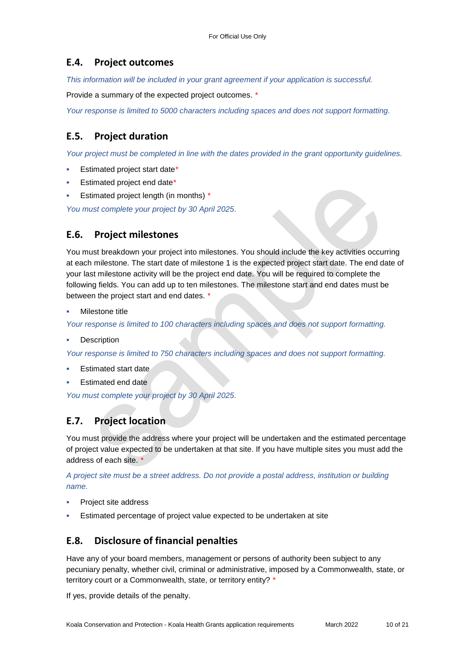#### **E.4. Project outcomes**

*This information will be included in your grant agreement if your application is successful.*

Provide a summary of the expected project outcomes. *\**

*Your response is limited to 5000 characters including spaces and does not support formatting.*

### **E.5. Project duration**

*Your project must be completed in line with the dates provided in the grant opportunity guidelines.*

- Estimated project start date*\**
- Estimated project end date*\**
- Estimated project length (in months) *\**

*You must complete your project by 30 April 2025.* 

#### **E.6. Project milestones**

You must breakdown your project into milestones. You should include the key activities occurring at each milestone. The start date of milestone 1 is the expected project start date. The end date of your last milestone activity will be the project end date. You will be required to complete the following fields. You can add up to ten milestones. The milestone start and end dates must be between the project start and end dates. \*

#### Milestone title

*Your response is limited to 100 characters including spaces and does not support formatting.*

**Description** 

*Your response is limited to 750 characters including spaces and does not support formatting.*

- Estimated start date
- Estimated end date

*You must complete your project by 30 April 2025.* 

#### **E.7. Project location**

You must provide the address where your project will be undertaken and the estimated percentage of project value expected to be undertaken at that site. If you have multiple sites you must add the address of each site. *\**

*A project site must be a street address. Do not provide a postal address, institution or building name.* 

- Project site address
- Estimated percentage of project value expected to be undertaken at site

#### **E.8. Disclosure of financial penalties**

Have any of your board members, management or persons of authority been subject to any pecuniary penalty, whether civil, criminal or administrative, imposed by a Commonwealth, state, or territory court or a Commonwealth, state, or territory entity? *\**

If yes, provide details of the penalty.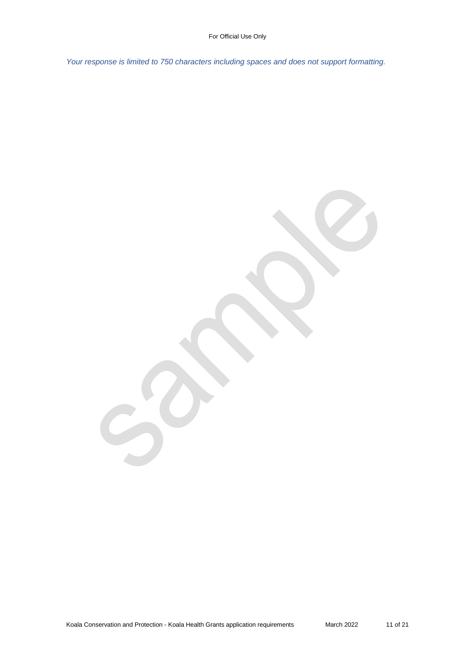*Your response is limited to 750 characters including spaces and does not support formatting.*

 $\sim$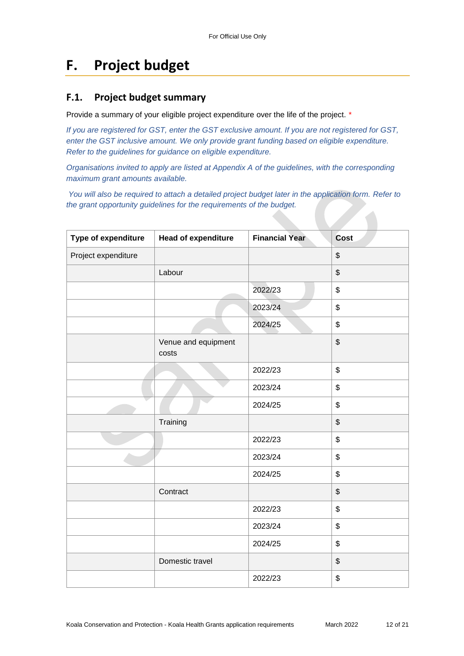## **F. Project budget**

#### **F.1. Project budget summary**

Provide a summary of your eligible project expenditure over the life of the project. *\**

*If you are registered for GST, enter the GST exclusive amount. If you are not registered for GST, enter the GST inclusive amount. We only provide grant funding based on eligible expenditure. Refer to the guidelines for guidance on eligible expenditure.*

*Organisations invited to apply are listed at Appendix A of the guidelines, with the corresponding maximum grant amounts available.*

*You will also be required to attach a detailed project budget later in the application form. Refer to the grant opportunity guidelines for the requirements of the budget.*

| Type of expenditure | <b>Head of expenditure</b>   | <b>Financial Year</b> | <b>Cost</b> |
|---------------------|------------------------------|-----------------------|-------------|
| Project expenditure |                              |                       | \$          |
|                     | Labour                       |                       | \$          |
|                     |                              | 2022/23               | \$          |
|                     |                              | 2023/24               | \$          |
|                     |                              | 2024/25               | \$          |
|                     | Venue and equipment<br>costs |                       | \$          |
|                     |                              | 2022/23               | \$          |
|                     |                              | 2023/24               | \$          |
|                     |                              | 2024/25               | \$          |
|                     | Training                     |                       | \$          |
|                     |                              | 2022/23               | \$          |
|                     |                              | 2023/24               | \$          |
|                     |                              | 2024/25               | \$          |
|                     | Contract                     |                       | \$          |
|                     |                              | 2022/23               | \$          |
|                     |                              | 2023/24               | \$          |
|                     |                              | 2024/25               | \$          |
|                     | Domestic travel              |                       | \$          |
|                     |                              | 2022/23               | \$          |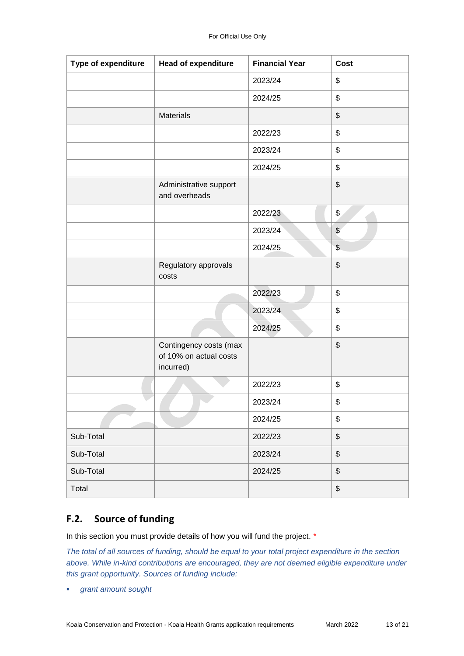| Type of expenditure | <b>Head of expenditure</b>                                    | <b>Financial Year</b> | <b>Cost</b>                                   |
|---------------------|---------------------------------------------------------------|-----------------------|-----------------------------------------------|
|                     |                                                               | 2023/24               | \$                                            |
|                     |                                                               | 2024/25               | \$                                            |
|                     | <b>Materials</b>                                              |                       | \$                                            |
|                     |                                                               | 2022/23               | \$                                            |
|                     |                                                               | 2023/24               | \$                                            |
|                     |                                                               | 2024/25               | \$                                            |
|                     | Administrative support<br>and overheads                       |                       | $\, \, \raisebox{12pt}{$\scriptstyle \circ$}$ |
|                     |                                                               | 2022/23               | \$                                            |
|                     |                                                               | 2023/24               | $\frac{1}{2}$                                 |
|                     |                                                               | 2024/25               | $\sqrt[6]{\frac{1}{2}}$                       |
|                     | Regulatory approvals<br>costs                                 |                       | \$                                            |
|                     |                                                               | 2022/23               | \$                                            |
|                     |                                                               | 2023/24               | \$                                            |
|                     |                                                               | 2024/25               | \$                                            |
|                     | Contingency costs (max<br>of 10% on actual costs<br>incurred) |                       | \$                                            |
|                     |                                                               | 2022/23               | \$                                            |
|                     |                                                               | 2023/24               | \$                                            |
|                     |                                                               | 2024/25               | \$                                            |
| Sub-Total           |                                                               | 2022/23               | \$                                            |
| Sub-Total           |                                                               | 2023/24               | \$                                            |
| Sub-Total           |                                                               | 2024/25               | \$                                            |
| Total               |                                                               |                       | \$                                            |

#### **F.2. Source of funding**

In this section you must provide details of how you will fund the project. *\**

*The total of all sources of funding, should be equal to your total project expenditure in the section above. While in-kind contributions are encouraged, they are not deemed eligible expenditure under this grant opportunity. Sources of funding include:*

*grant amount sought*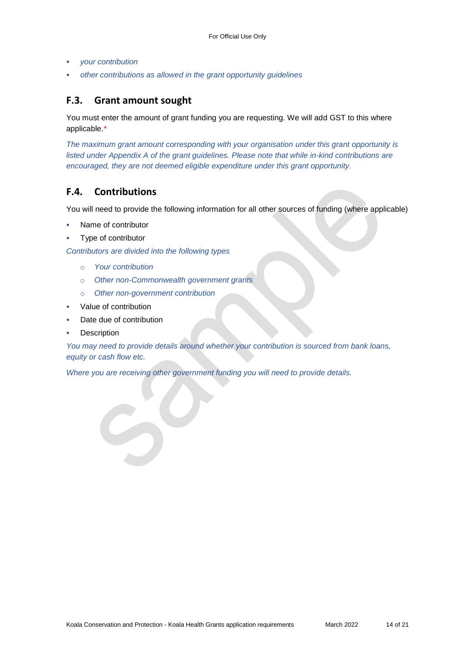- *your contribution*
- *other contributions as allowed in the grant opportunity guidelines*

#### **F.3. Grant amount sought**

You must enter the amount of grant funding you are requesting. We will add GST to this where applicable.*\**

*The maximum grant amount corresponding with your organisation under this grant opportunity is listed under Appendix A of the grant guidelines. Please note that while in-kind contributions are encouraged, they are not deemed eligible expenditure under this grant opportunity.*

#### **F.4. Contributions**

You will need to provide the following information for all other sources of funding (where applicable)

- Name of contributor
- Type of contributor

*Contributors are divided into the following types*

- o *Your contribution*
- o *Other non-Commonwealth government grants*
- o *Other non-government contribution*

- Value of contribution
- Date due of contribution
- Description

*You may need to provide details around whether your contribution is sourced from bank loans, equity or cash flow etc.* 

*Where you are receiving other government funding you will need to provide details.*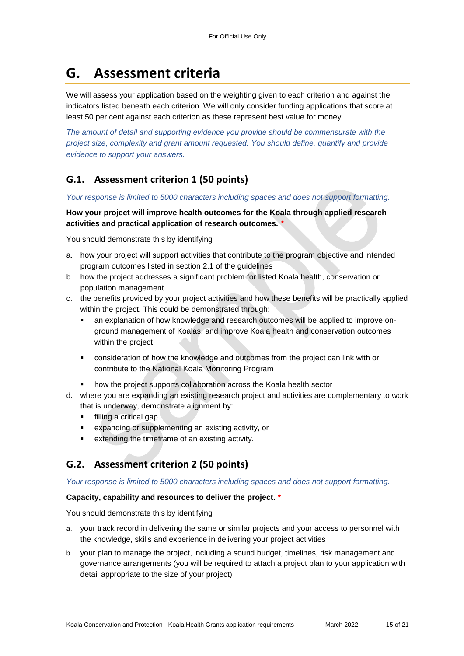### **G. Assessment criteria**

We will assess your application based on the weighting given to each criterion and against the indicators listed beneath each criterion. We will only consider funding applications that score at least 50 per cent against each criterion as these represent best value for money.

*The amount of detail and supporting evidence you provide should be commensurate with the project size, complexity and grant amount requested. You should define, quantify and provide evidence to support your answers.*

#### **G.1. Assessment criterion 1 (50 points)**

*Your response is limited to 5000 characters including spaces and does not support formatting.* 

**How your project will improve health outcomes for the Koala through applied research activities and practical application of research outcomes.** *\**

You should demonstrate this by identifying

- a. how your project will support activities that contribute to the program objective and intended program outcomes listed in section 2.1 of the guidelines
- b. how the project addresses a significant problem for listed Koala health, conservation or population management
- c. the benefits provided by your project activities and how these benefits will be practically applied within the project. This could be demonstrated through:
	- an explanation of how knowledge and research outcomes will be applied to improve onground management of Koalas, and improve Koala health and conservation outcomes within the project
	- consideration of how the knowledge and outcomes from the project can link with or contribute to the National Koala Monitoring Program
	- how the project supports collaboration across the Koala health sector
- d. where you are expanding an existing research project and activities are complementary to work that is underway, demonstrate alignment by:
	- **filling a critical gap**
	- expanding or supplementing an existing activity, or
	- extending the timeframe of an existing activity.

#### **G.2. Assessment criterion 2 (50 points)**

*Your response is limited to 5000 characters including spaces and does not support formatting.* 

#### **Capacity, capability and resources to deliver the project.** *\**

You should demonstrate this by identifying

- a. your track record in delivering the same or similar projects and your access to personnel with the knowledge, skills and experience in delivering your project activities
- b. your plan to manage the project, including a sound budget, timelines, risk management and governance arrangements (you will be required to attach a project plan to your application with detail appropriate to the size of your project)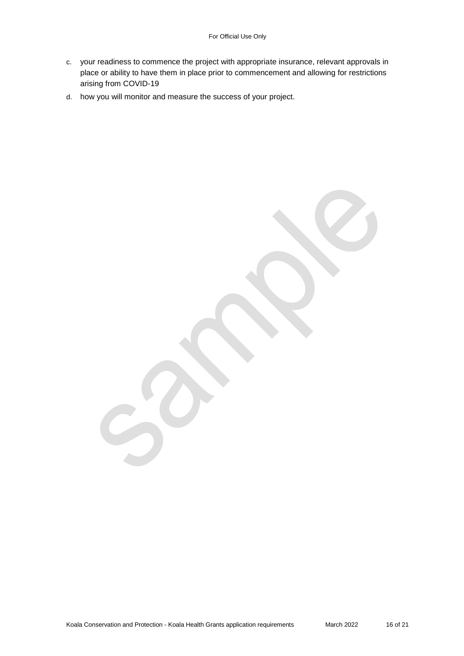- c. your readiness to commence the project with appropriate insurance, relevant approvals in place or ability to have them in place prior to commencement and allowing for restrictions arising from COVID-19
- d. how you will monitor and measure the success of your project.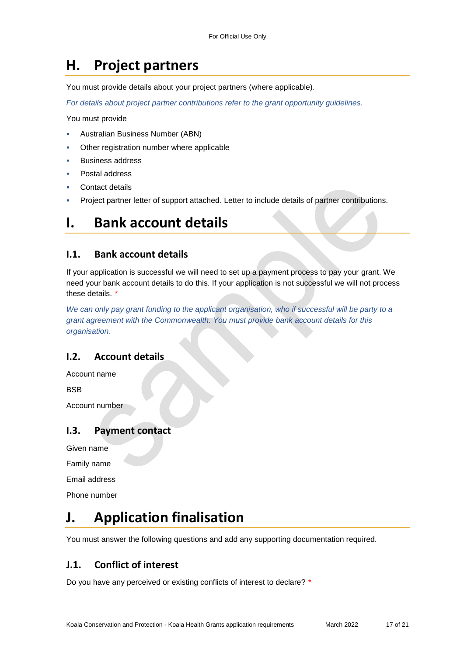## **H. Project partners**

You must provide details about your project partners (where applicable).

*For details about project partner contributions refer to the grant opportunity guidelines.*

You must provide

- Australian Business Number (ABN)
- Other registration number where applicable
- Business address
- Postal address
- Contact details
- Project partner letter of support attached. Letter to include details of partner contributions.

### **I. Bank account details**

#### **I.1. Bank account details**

If your application is successful we will need to set up a payment process to pay your grant. We need your bank account details to do this. If your application is not successful we will not process these details. *\**

*We can only pay grant funding to the applicant organisation, who if successful will be party to a grant agreement with the Commonwealth. You must provide bank account details for this organisation.*

#### **I.2. Account details**

Account name

**BSB** 

Account number

#### **I.3. Payment contact**

Given name

Family name

Email address

Phone number

# **J. Application finalisation**

You must answer the following questions and add any supporting documentation required.

### **J.1. Conflict of interest**

Do you have any perceived or existing conflicts of interest to declare? *\**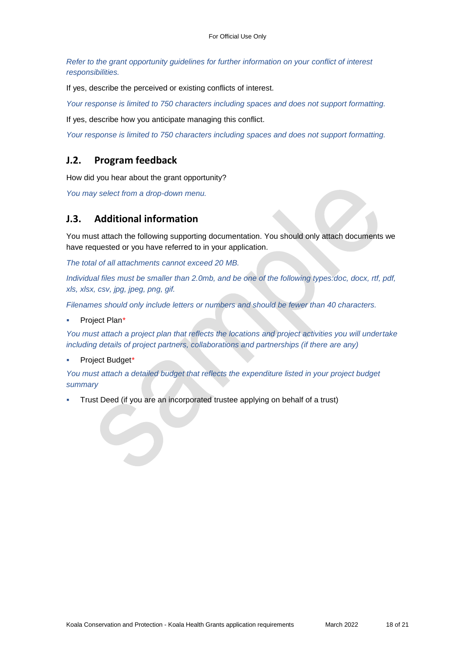*Refer to the grant opportunity guidelines for further information on your conflict of interest responsibilities.*

If yes, describe the perceived or existing conflicts of interest.

*Your response is limited to 750 characters including spaces and does not support formatting.*

If yes, describe how you anticipate managing this conflict.

*Your response is limited to 750 characters including spaces and does not support formatting.*

#### **J.2. Program feedback**

How did you hear about the grant opportunity?

*You may select from a drop-down menu.* 

#### **J.3. Additional information**

You must attach the following supporting documentation. You should only attach documents we have requested or you have referred to in your application.

*The total of all attachments cannot exceed 20 MB.* 

*Individual files must be smaller than 2.0mb, and be one of the following types:doc, docx, rtf, pdf, xls, xlsx, csv, jpg, jpeg, png, gif.*

*Filenames should only include letters or numbers and should be fewer than 40 characters.* 

Project Plan*\**

*You must attach a project plan that reflects the locations and project activities you will undertake including details of project partners, collaborations and partnerships (if there are any)* 

#### Project Budget*\**

*You must attach a detailed budget that reflects the expenditure listed in your project budget summary*

Trust Deed (if you are an incorporated trustee applying on behalf of a trust)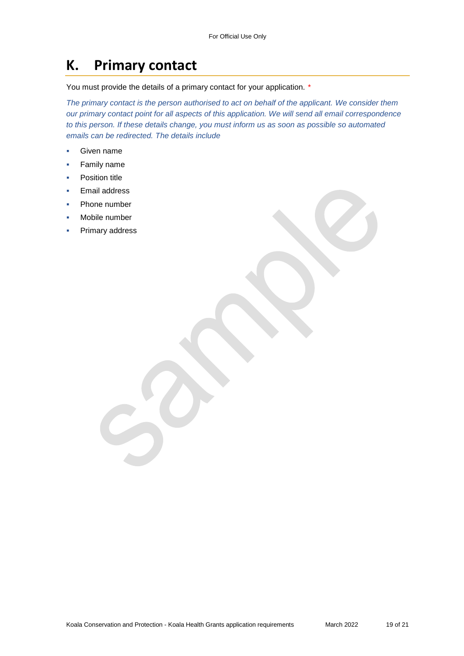### **K. Primary contact**

You must provide the details of a primary contact for your application. *\**

*The primary contact is the person authorised to act on behalf of the applicant. We consider them our primary contact point for all aspects of this application. We will send all email correspondence to this person. If these details change, you must inform us as soon as possible so automated emails can be redirected. The details include*

- Given name
- **Family name**
- Position title
- Email address
- Phone number
- Mobile number
- Primary address

Koala Conservation and Protection - Koala Health Grants application requirements March 2022 19 of 21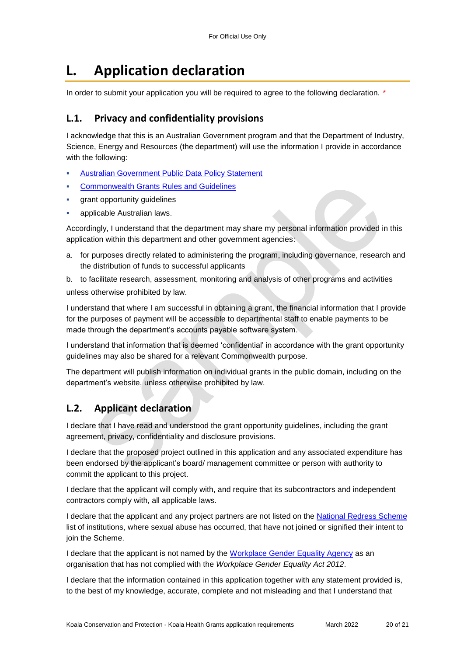## **L. Application declaration**

In order to submit your application you will be required to agree to the following declaration. *\**

#### **L.1. Privacy and confidentiality provisions**

I acknowledge that this is an Australian Government program and that the Department of Industry, Science, Energy and Resources (the department) will use the information I provide in accordance with the following:

- [Australian Government Public Data Policy Statement](https://www.pmc.gov.au/sites/default/files/publications/aust_govt_public_data_policy_statement_1.pdf)
- [Commonwealth Grants Rules and Guidelines](https://www.finance.gov.au/government/commonwealth-grants/commonwealth-grants-rules-guidelines)
- grant opportunity guidelines
- applicable Australian laws.

Accordingly, I understand that the department may share my personal information provided in this application within this department and other government agencies:

a. for purposes directly related to administering the program, including governance, research and the distribution of funds to successful applicants

b. to facilitate research, assessment, monitoring and analysis of other programs and activities unless otherwise prohibited by law.

I understand that where I am successful in obtaining a grant, the financial information that I provide for the purposes of payment will be accessible to departmental staff to enable payments to be made through the department's accounts payable software system.

I understand that information that is deemed 'confidential' in accordance with the grant opportunity guidelines may also be shared for a relevant Commonwealth purpose.

The department will publish information on individual grants in the public domain, including on the department's website, unless otherwise prohibited by law.

#### **L.2. Applicant declaration**

I declare that I have read and understood the grant opportunity guidelines, including the grant agreement, privacy, confidentiality and disclosure provisions.

I declare that the proposed project outlined in this application and any associated expenditure has been endorsed by the applicant's board/ management committee or person with authority to commit the applicant to this project.

I declare that the applicant will comply with, and require that its subcontractors and independent contractors comply with, all applicable laws.

I declare that the applicant and any project partners are not listed on the [National Redress Scheme](https://www.nationalredress.gov.au/institutions/institutions-have-not-yet-joined) list of institutions, where sexual abuse has occurred, that have not joined or signified their intent to join the Scheme.

I declare that the applicant is not named by the [Workplace Gender Equality Agency](https://www.wgea.gov.au/what-we-do/compliance-reporting/non-compliant-list) as an organisation that has not complied with the *Workplace Gender Equality Act 2012*.

I declare that the information contained in this application together with any statement provided is, to the best of my knowledge, accurate, complete and not misleading and that I understand that